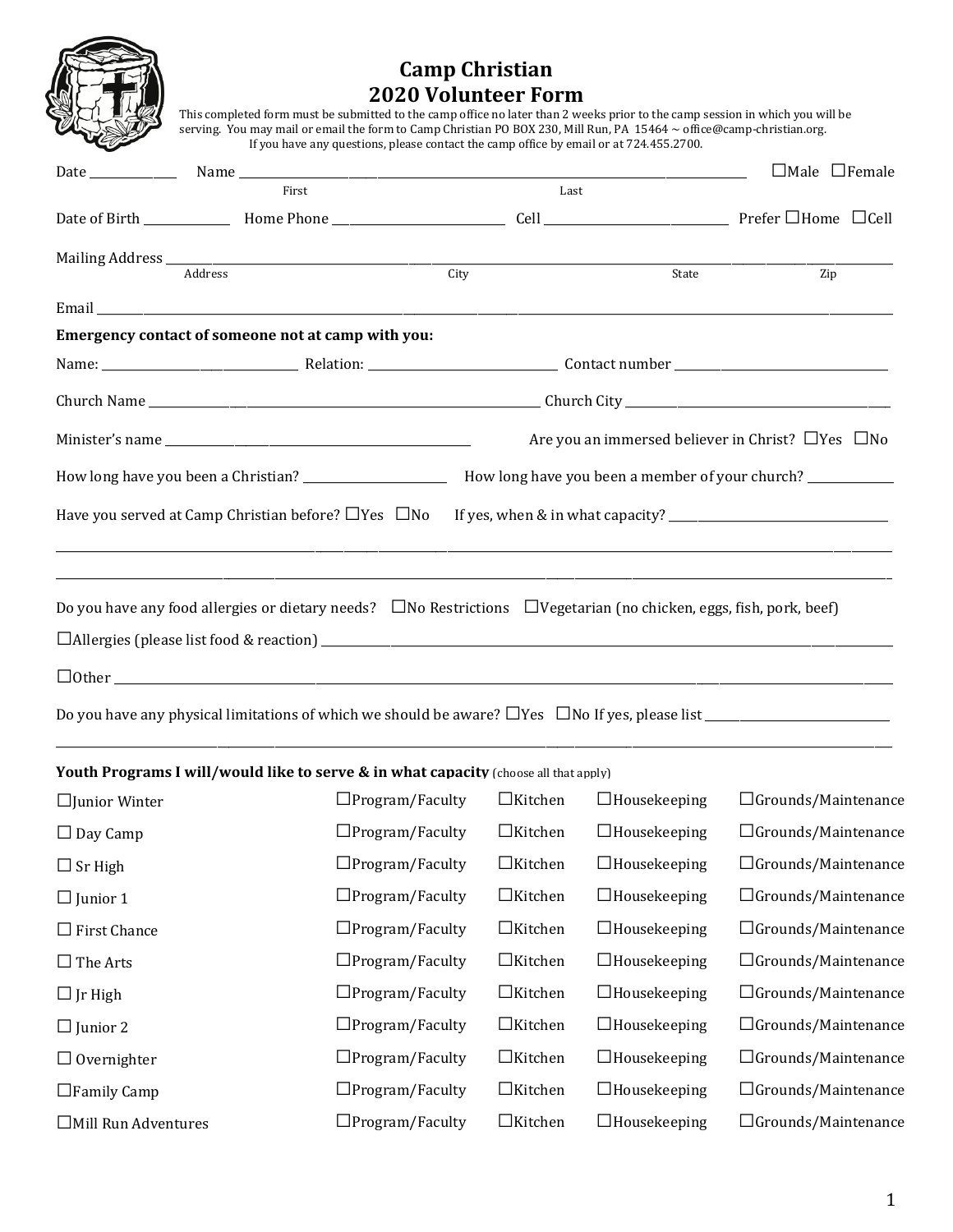

## **Camp Christian 2020 Volunteer Form**

THE LASSET This completed form must be submitted to the camp office no later than 2 weeks prior to the camp session in which you will be serving. You may mail or email the form to Camp Christian PO BOX 230, Mill Run, PA 15464 ~ office@camp-christian.org. If you have any questions, please contact the camp office by email or at 724.455.2700.

|                      |                                                                |                                                                                                                                |                |                     | $\Box$ Male $\Box$ Female                                    |
|----------------------|----------------------------------------------------------------|--------------------------------------------------------------------------------------------------------------------------------|----------------|---------------------|--------------------------------------------------------------|
|                      | First                                                          |                                                                                                                                | Last           |                     |                                                              |
|                      |                                                                |                                                                                                                                |                |                     |                                                              |
|                      | Address                                                        | City                                                                                                                           |                | State               | Zip                                                          |
|                      |                                                                |                                                                                                                                |                |                     |                                                              |
|                      | Emergency contact of someone not at camp with you:             |                                                                                                                                |                |                     |                                                              |
|                      |                                                                |                                                                                                                                |                |                     |                                                              |
|                      |                                                                |                                                                                                                                |                |                     |                                                              |
|                      |                                                                |                                                                                                                                |                |                     | Are you an immersed believer in Christ? $\Box$ Yes $\Box$ No |
|                      |                                                                |                                                                                                                                |                |                     |                                                              |
|                      | Have you served at Camp Christian before? $\Box$ Yes $\Box$ No |                                                                                                                                |                |                     |                                                              |
|                      |                                                                |                                                                                                                                |                |                     |                                                              |
|                      |                                                                | Do you have any food allergies or dietary needs? $\Box$ No Restrictions $\Box$ Vegetarian (no chicken, eggs, fish, pork, beef) |                |                     |                                                              |
|                      |                                                                |                                                                                                                                |                |                     |                                                              |
|                      |                                                                | $\Box$ 0ther $\Box$                                                                                                            |                |                     |                                                              |
|                      |                                                                |                                                                                                                                |                |                     |                                                              |
|                      |                                                                | Youth Programs I will/would like to serve & in what capacity (choose all that apply)                                           |                |                     |                                                              |
| $\Box$ Junior Winter |                                                                | $\Box$ Program/Faculty                                                                                                         | $\Box$ Kitchen | $\Box$ Housekeeping | $\Box$ Grounds/Maintenance                                   |
| $\Box$ Day Camp      |                                                                | $\Box$ Program/Faculty                                                                                                         | $\Box$ Kitchen | $\Box$ Housekeeping | $\Box$ Grounds/Maintenance                                   |
| $\Box$ Sr High       |                                                                | $\Box$ Program/Faculty                                                                                                         | $\Box$ Kitchen | $\Box$ Housekeeping | $\Box$ Grounds/Maintenance                                   |
| $\Box$ Junior 1      |                                                                | $\Box$ Program/Faculty                                                                                                         | $\Box$ Kitchen | $\Box$ Housekeeping | □Grounds/Maintenance                                         |
| $\Box$ First Chance  |                                                                | $\Box$ Program/Faculty                                                                                                         | $\Box$ Kitchen | $\Box$ Housekeeping | $\Box$ Grounds/Maintenance                                   |
| $\Box$ The Arts      |                                                                | $\Box$ Program/Faculty                                                                                                         | $\Box$ Kitchen | $\Box$ Housekeeping | □Grounds/Maintenance                                         |
| $\Box$ Jr High       |                                                                | $\Box$ Program/Faculty                                                                                                         | $\Box$ Kitchen | $\Box$ Housekeeping | □Grounds/Maintenance                                         |
| $\Box$ Junior 2      |                                                                | $\Box$ Program/Faculty                                                                                                         | $\Box$ Kitchen | $\Box$ Housekeeping | $\Box$ Grounds/Maintenance                                   |
| $\Box$ Overnighter   |                                                                | $\Box$ Program/Faculty                                                                                                         | $\Box$ Kitchen | $\Box$ Housekeeping | □Grounds/Maintenance                                         |
| $\Box$ Family Camp   |                                                                | $\Box$ Program/Faculty                                                                                                         | $\Box$ Kitchen | $\Box$ Housekeeping | $\Box$ Grounds/Maintenance                                   |
| □Mill Run Adventures |                                                                | $\Box$ Program/Faculty                                                                                                         | $\Box$ Kitchen | $\Box$ Housekeeping | $\Box$ Grounds/Maintenance                                   |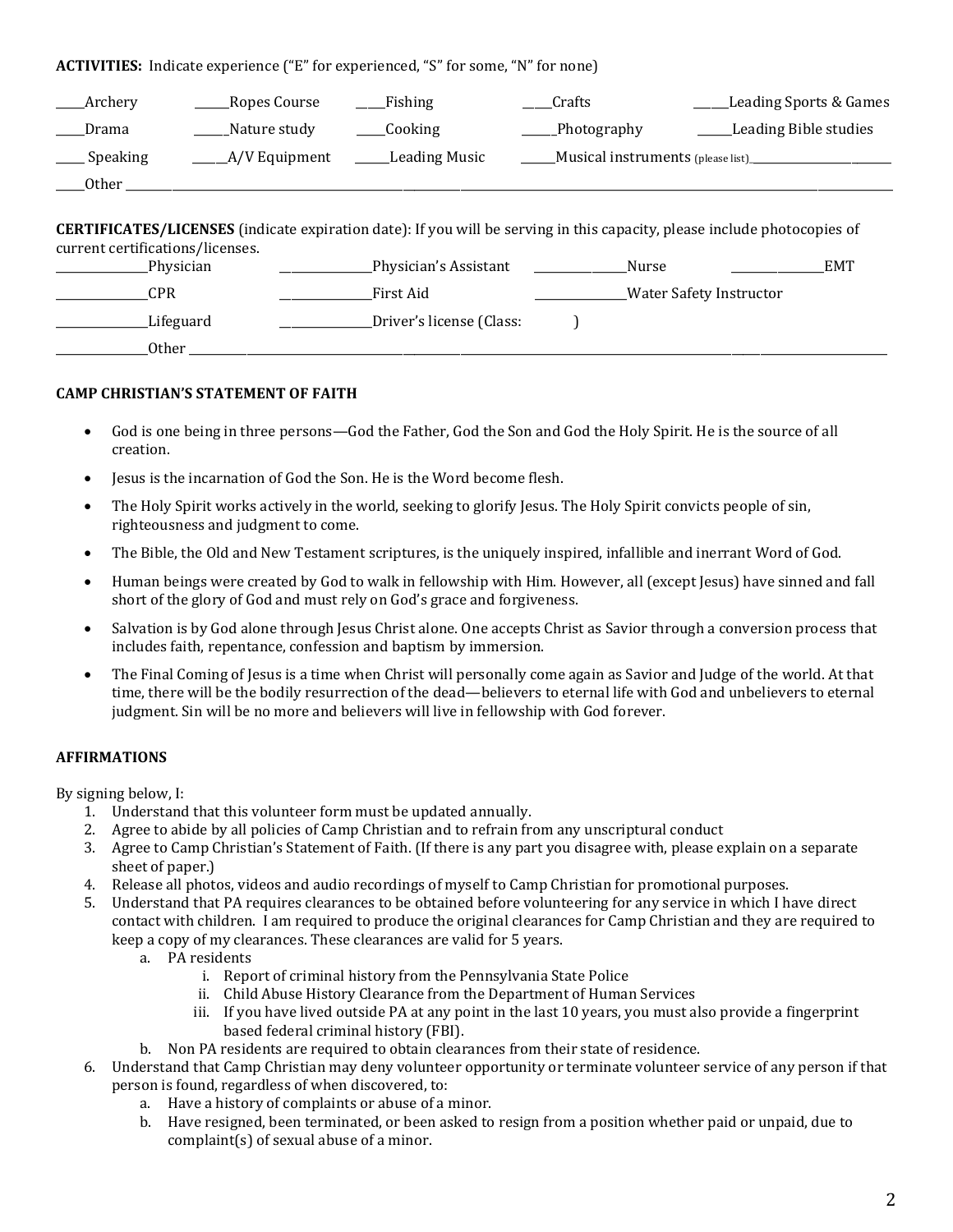**ACTIVITIES:** Indicate experience ("E" for experienced, "S" for some, "N" for none)

| Archery                                                                                                                                                             | <b>Ropes Course</b> | Fishing                  | Crafts      | <b>Leading Sports &amp; Games</b> |  |  |  |  |
|---------------------------------------------------------------------------------------------------------------------------------------------------------------------|---------------------|--------------------------|-------------|-----------------------------------|--|--|--|--|
| Drama                                                                                                                                                               | Nature study        | Cooking                  | Photography | <b>Leading Bible studies</b>      |  |  |  |  |
| Speaking                                                                                                                                                            | A/V Equipment       | Leading Music            |             | Musical instruments (please list) |  |  |  |  |
| _Other _                                                                                                                                                            |                     |                          |             |                                   |  |  |  |  |
| <b>CERTIFICATES/LICENSES</b> (indicate expiration date): If you will be serving in this capacity, please include photocopies of<br>current certifications/licenses. |                     |                          |             |                                   |  |  |  |  |
|                                                                                                                                                                     | Physician           | Physician's Assistant    | Nurse       | <b>EMT</b>                        |  |  |  |  |
| <b>CPR</b>                                                                                                                                                          |                     | First Aid                |             | <b>Water Safety Instructor</b>    |  |  |  |  |
|                                                                                                                                                                     | Lifeguard           | Driver's license (Class: |             |                                   |  |  |  |  |
| Other                                                                                                                                                               |                     |                          |             |                                   |  |  |  |  |

## **CAMP CHRISTIAN'S STATEMENT OF FAITH**

- God is one being in three persons—God the Father, God the Son and God the Holy Spirit. He is the source of all creation.
- Jesus is the incarnation of God the Son. He is the Word become flesh.
- The Holy Spirit works actively in the world, seeking to glorify Jesus. The Holy Spirit convicts people of sin, righteousness and judgment to come.
- The Bible, the Old and New Testament scriptures, is the uniquely inspired, infallible and inerrant Word of God.
- Human beings were created by God to walk in fellowship with Him. However, all (except Jesus) have sinned and fall short of the glory of God and must rely on God's grace and forgiveness.
- Salvation is by God alone through Jesus Christ alone. One accepts Christ as Savior through a conversion process that includes faith, repentance, confession and baptism by immersion.
- The Final Coming of Jesus is a time when Christ will personally come again as Savior and Judge of the world. At that time, there will be the bodily resurrection of the dead—believers to eternal life with God and unbelievers to eternal judgment. Sin will be no more and believers will live in fellowship with God forever.

## **AFFIRMATIONS**

By signing below, I:

- 1. Understand that this volunteer form must be updated annually.
- 2. Agree to abide by all policies of Camp Christian and to refrain from any unscriptural conduct
- 3. Agree to Camp Christian's Statement of Faith. (If there is any part you disagree with, please explain on a separate sheet of paper.)
- 4. Release all photos, videos and audio recordings of myself to Camp Christian for promotional purposes.
- 5. Understand that PA requires clearances to be obtained before volunteering for any service in which I have direct contact with children. I am required to produce the original clearances for Camp Christian and they are required to keep a copy of my clearances. These clearances are valid for 5 years.
	- a. PA residents
		- i. Report of criminal history from the Pennsylvania State Police
		- ii. Child Abuse History Clearance from the Department of Human Services
		- iii. If you have lived outside PA at any point in the last 10 years, you must also provide a fingerprint based federal criminal history (FBI).
	- b. Non PA residents are required to obtain clearances from their state of residence.
- 6. Understand that Camp Christian may deny volunteer opportunity or terminate volunteer service of any person if that person is found, regardless of when discovered, to:
	- a. Have a history of complaints or abuse of a minor.
	- b. Have resigned, been terminated, or been asked to resign from a position whether paid or unpaid, due to complaint(s) of sexual abuse of a minor.